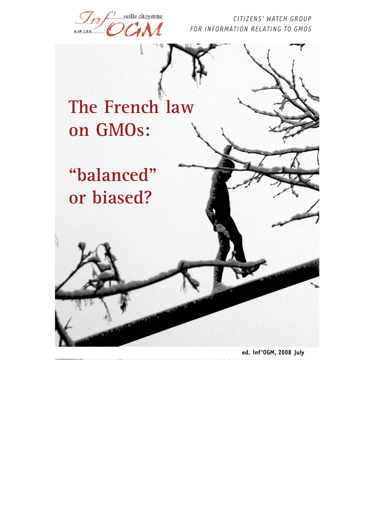

**ed. Inf'OGM, 2008 July**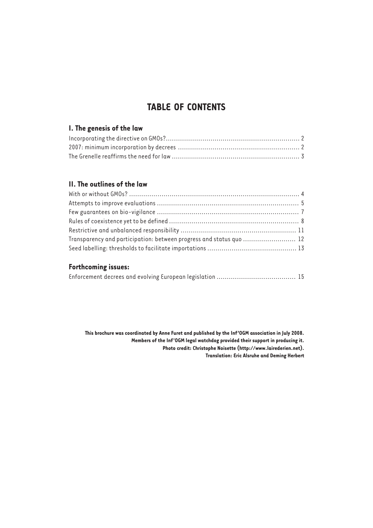# **TABLE OF CONTENTS**

## **I. The genesis of the law**

## **II. The outlines of the law**

| Transparency and participation: between progress and status quo  12 |  |
|---------------------------------------------------------------------|--|
|                                                                     |  |

## **Forthcoming issues:**

|--|

**This brochure was coordinated by Anne Furet and published by the Inf'OGM association in July 2008. Members of the Inf'OGM legal watchdog provided their support in producing it. Photo credit: Christophe Noisette (http://www.lairederien.net). Translation: Eric Alsruhe and Deming Herbert**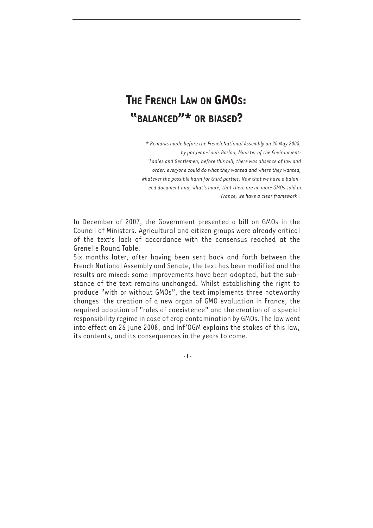# **THE FRENCH LAW ON GMOS: "BALANCED"\* OR BIASED?**

*\* Remarks made before the French National Assembly on 20 May 2008, by par Jean-Louis Borloo, Minister of the Environment: "Ladies and Gentlemen, before this bill, there was absence of law and order: everyone could do what they wanted and where they wanted, whatever the possible harm for third parties. Now that we have a balanced document and, what's more, that there are no more GMOs sold in France, we have a clear framework".*

In December of 2007, the Government presented a bill on GMOs in the Council of Ministers. Agricultural and citizen groups were already critical of the text's lack of accordance with the consensus reached at the Grenelle Round Table.

Six months later, after having been sent back and forth between the French National Assembly and Senate, the text has been modified and the results are mixed: some improvements have been adopted, but the substance of the text remains unchanged. Whilst establishing the right to produce "with or without GMOs", the text implements three noteworthy changes: the creation of a new organ of GMO evaluation in France, the required adoption of "rules of coexistence" and the creation of a special responsibility regime in case of crop contamination by GMOs. The law went into effect on 26 June 2008, and Inf'OGM explains the stakes of this law, its contents, and its consequences in the years to come.

- 1 -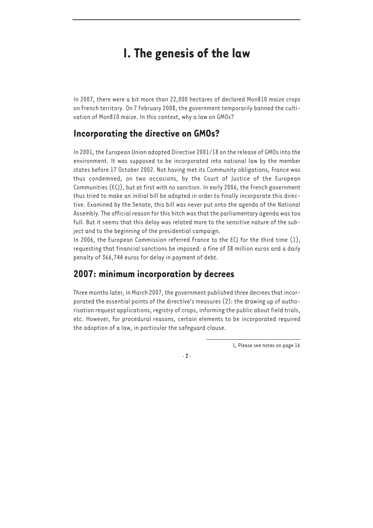# **I. The genesis of the law**

In 2007, there were a bit more than 22,000 hectares of declared Mon810 maize crops on French territory. On 7 February 2008, the government temporarily banned the cultivation of Mon810 maize. In this context, why a law on GMOs?

# **Incorporating the directive on GMOs?**

In 2001, the European Union adopted Directive 2001/18 on the release of GMOs into the environment. It was supposed to be incorporated into national law by the member states before 17 October 2002. Not having met its Community obligations, France was thus condemned, on two occasions, by the Court of Justice of the European Communities (ECJ), but at first with no sanction. In early 2006, the French government thus tried to make an initial bill be adopted in order to finally incorporate this directive. Examined by the Senate, this bill was never put onto the agenda of the National Assembly. The official reason for this hitch was that the parliamentary agenda was too full. But it seems that this delay was related more to the sensitive nature of the subject and to the beginning of the presidential campaign.

In 2006, the European Commission referred France to the ECJ for the third time (1), requesting that financial sanctions be imposed: a fine of 38 million euros and a daily penalty of 366,744 euros for delay in payment of debt.

# **2007: minimum incorporation by decrees**

Three months later, in March 2007, the government published three decrees that incorporated the essential points of the directive's measures (2): the drawing up of authorisation request applications, registry of crops, informing the public about field trials, etc. However, for procedural reasons, certain elements to be incorporated required the adoption of a law, in particular the safeguard clause.

1, Please see notes on page 16

 $-2 -$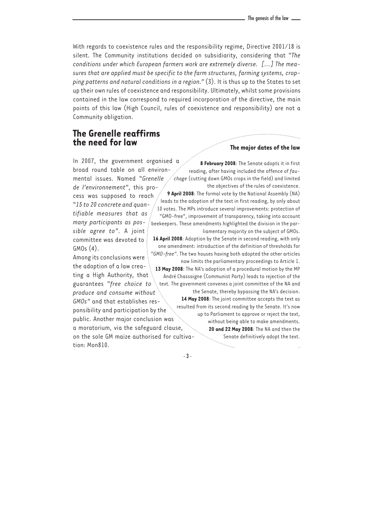With regards to coexistence rules and the responsibility regime, Directive 2001/18 is silent. The Community institutions decided on subsidiarity, considering that "*The conditions under which European farmers work are extremely diverse. [...] The measures that are applied must be specific to the farm structures, farming systems, cropping patterns and natural conditions in a region."* (3). It is thus up to the States to set up their own rules of coexistence and responsibility. Ultimately, whilst some provisions contained in the law correspond to required incorporation of the directive, the main points of this law (High Council, rules of coexistence and responsibility) are not a Community obligation.

## **The Grenelle reaffirms the need for law**

In 2007, the government organised a broad round table on all environmental issues. Named "*Grenelle de l'environnement"*, this pro-

cess was supposed to reach "*15 to 20 concrete and quantifiable measures that as many participants as possible agree to"*. A joint committee was devoted to GMOs (4).

Among its conclusions were the adoption of a law creating a High Authority, that guarantees "*free choice to produce and consume without*

*GMOs"* and that establishes responsibility and participation by the public. Another major conclusion was a moratorium, via the safeguard clause, on the sole GM maize authorised for cultivation: Mon810.

#### **The major dates of the law**

**8 February 2008**: The Senate adopts it in first reading, after having included the offence of *fauchage* (cutting down GMOs crops in the field) and limited the objectives of the rules of coexistence.

**9 April 2008**: The formal vote by the National Assembly (NA) leads to the adoption of the text in first reading, by only about 10 votes. The MPs introduce several improvements: protection of "GMO-free", improvement of transparency, taking into account beekeepers. These amendments highlighted the division in the parliamentary majority on the subject of GMOs.

**16 April 2008**: Adoption by the Senate in second reading, with only one amendment: introduction of the definition of thresholds for *"GMO-free"*. The two houses having both adopted the other articles now limits the parliamentary proceedings to Article 1.

**13 May 2008**: The NA's adoption of a procedural motion by the MP André Chassaigne (Communist Party) leads to rejection of the text. The government convenes a joint committee of the NA and

> the Senate, thereby bypassing the NA's decision. **14 May 2008**: The joint committee accepts the text as resulted from its second reading by the Senate. It's now up to Parliament to approve or reject the text, without being able to make amendments. **20 and 22 May 2008**: The NA and then the Senate definitively adopt the text.

- 3 -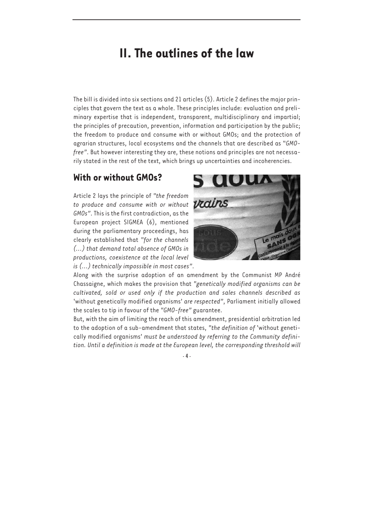# **II. The outlines of the law**

The bill is divided into six sections and 21 articles (5). Article 2 defines the major principles that govern the text as a whole. These principles include: evaluation and preliminary expertise that is independent, transparent, multidisciplinary and impartial; the principles of precaution, prevention, information and participation by the public; the freedom to produce and consume with or without GMOs; and the protection of agrarian structures, local ecosystems and the channels that are described as "*GMOfree"*. But however interesting they are, these notions and principles are not necessarily stated in the rest of the text, which brings up uncertainties and incoherencies.

# **With or without GMOs?**

Article 2 lays the principle of *"the freedom to produce and consume with or without GMOs"*. This is the first contradiction, as the European project SIGMEA (6), mentioned during the parliamentary proceedings, has clearly established that *"for the channels (...) that demand total absence of GMOs in productions, coexistence at the local level is (...) technically impossible in most cases"*.



Along with the surprise adoption of an amendment by the Communist MP André Chassaigne, which makes the provision that *"genetically modified organisms can be cultivated, sold or used only if the production and sales channels described as* 'without genetically modified organisms' *are respected"*, Parliament initially allowed the scales to tip in favour of the *"GMO-free"* guarantee.

But, with the aim of limiting the reach of this amendment, presidential arbitration led to the adoption of a sub-amendment that states, *"the definition of* 'without genetically modified organisms' *must be understood by referring to the Community definition. Until a definition is made at the European level, the corresponding threshold will*

 $- 4 -$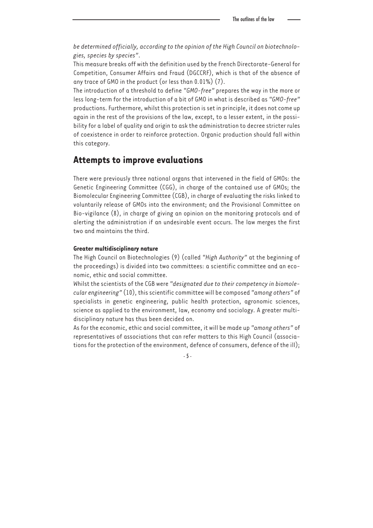*be determined officially, according to the opinion of the High Council on biotechnologies, species by species"*.

This measure breaks off with the definition used by the French Directorate-General for Competition, Consumer Affairs and Fraud (DGCCRF), which is that of the absence of any trace of GMO in the product (or less than 0.01%) (7).

The introduction of a threshold to define *"GMO-free"* prepares the way in the more or less long-term for the introduction of a bit of GMO in what is described as *"GMO-free"* productions. Furthermore, whilst this protection is set in principle, it does not come up again in the rest of the provisions of the law, except, to a lesser extent, in the possibility for a label of quality and origin to ask the administration to decree stricter rules of coexistence in order to reinforce protection. Organic production should fall within this category.

### **Attempts to improve evaluations**

There were previously three national organs that intervened in the field of GMOs: the Genetic Engineering Committee (CGG), in charge of the contained use of GMOs; the Biomolecular Engineering Committee (CGB), in charge of evaluating the risks linked to voluntarily release of GMOs into the environment; and the Provisional Committee on Bio-vigilance (8), in charge of giving an opinion on the monitoring protocols and of alerting the administration if an undesirable event occurs. The law merges the first two and maintains the third.

#### **Greater multidisciplinary nature**

The High Council on Biotechnologies (9) (called *"High Authority"* at the beginning of the proceedings) is divided into two committees: a scientific committee and an economic, ethic and social committee.

Whilst the scientists of the CGB were *"designated due to their competency in biomolecular engineering"* (10), this scientific committee will be composed *"among others"* of specialists in genetic engineering, public health protection, agronomic sciences, science as applied to the environment, law, economy and sociology. A greater multidisciplinary nature has thus been decided on.

As for the economic, ethic and social committee, it will be made up *"among others"* of representatives of associations that can refer matters to this High Council (associations for the protection of the environment, defence of consumers, defence of the ill);

 $-5 -$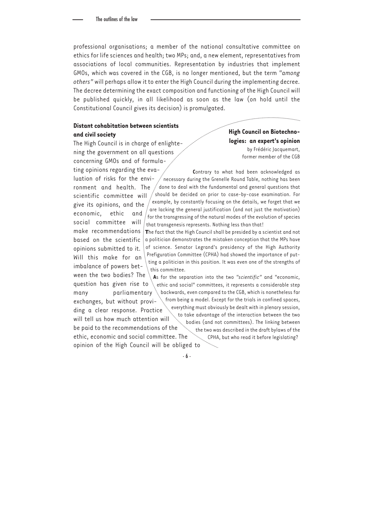professional organisations; a member of the national consultative committee on ethics for life sciences and health; two MPs; and, a new element, representatives from associations of local communities. Representation by industries that implement GMOs, which was covered in the CGB, is no longer mentioned, but the term *"among others"* will perhaps allow it to enter the High Council during the implementing decree. The decree determining the exact composition and functioning of the High Council will be published quickly, in all likelihood as soon as the law (on hold until the Constitutional Council gives its decision) is promulgated.

#### **Distant cohabitation between scientists and civil society**

The High Council is in charge of enlightening the government on all questions concerning GMOs and of formulating opinions regarding the eva-

economic, ethic and social committee will

opinions submitted to it.

**High Council on Biotechnologies: an expert's opinion** by Frédéric Jacquemart, former member of the CGB

luation of risks for the environment and health. The scientific committee will give its opinions, and the Contrary to what had been acknowledged as necessary during the Grenelle Round Table, nothing has been done to deal with the fundamental and general questions that should be decided on prior to case-by-case examination. For example, by constantly focusing on the details, we forget that we are lacking the general justification (and not just the motivation)  $\frac{1}{2}$  for the transgressing of the natural modes of the evolution of species that transgenesis represents. Nothing less than that!

make recommendations **T**he fact that the High Council shall be presided by a scientist and not based on the scientific  $\frac{1}{2}$  a politician demonstrates the mistaken conception that the MPs have Will this make for an imbalance of powers betof science. Senator Legrand's presidency of the High Authority Prefiguration Committee (CPHA) had showed the importance of putting a politician in this position. It was even one of the strengths of this committee.

ween the two bodies? The question has given rise to many parliamentary exchanges, but without providing a clear response. Practice will tell us how much attention will be paid to the recommendations of the ethic, economic and social committee. The opinion of the High Council will be obliged to **A**s for the separation into the two *"scientific"* and "economic, ethic and social" committees, it represents a considerable step backwards, even compared to the CGB, which is nonetheless far from being a model. Except for the trials in confined spaces, everything must obviously be dealt with in plenary session, to take advantage of the interaction between the two bodies (and not committees). The linking between the two was described in the draft bylaws of the CPHA, but who read it before legislating?

- 6 -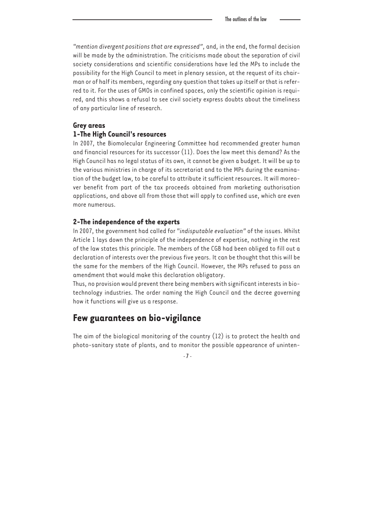*"mention divergent positions that are expressed"*, and, in the end, the formal decision will be made by the administration. The criticisms made about the separation of civil society considerations and scientific considerations have led the MPs to include the possibility for the High Council to meet in plenary session, at the request of its chairman or of half its members, regarding any question that takes up itself or that is referred to it. For the uses of GMOs in confined spaces, only the scientific opinion is required, and this shows a refusal to see civil society express doubts about the timeliness of any particular line of research.

#### **Grey areas**

#### **1-The High Council's resources**

In 2007, the Biomolecular Engineering Committee had recommended greater human and financial resources for its successor (11). Does the law meet this demand? As the High Council has no legal status of its own, it cannot be given a budget. It will be up to the various ministries in charge of its secretariat and to the MPs during the examination of the budget law, to be careful to attribute it sufficient resources. It will moreover benefit from part of the tax proceeds obtained from marketing authorisation applications, and above all from those that will apply to confined use, which are even more numerous.

#### **2-The independence of the experts**

In 2007, the government had called for *"indisputable evaluation"* of the issues. Whilst Article 1 lays down the principle of the independence of expertise, nothing in the rest of the law states this principle. The members of the CGB had been obliged to fill out a declaration of interests over the previous five years. It can be thought that this will be the same for the members of the High Council. However, the MPs refused to pass an amendment that would make this declaration obligatory.

Thus, no provision would prevent there being members with significant interests in biotechnology industries. The order naming the High Council and the decree governing how it functions will give us a response.

### **Few guarantees on bio-vigilance**

The aim of the biological monitoring of the country (12) is to protect the health and photo-sanitary state of plants, and to monitor the possible appearance of uninten-

 $-7$  -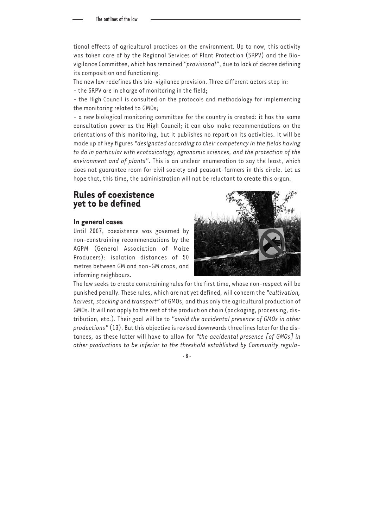tional effects of agricultural practices on the environment. Up to now, this activity was taken care of by the Regional Services of Plant Protection (SRPV) and the Biovigilance Committee, which has remained *"provisional"*, due to lack of decree defining its composition and functioning.

The new law redefines this bio-vigilance provision. Three different actors step in:

- the SRPV are in charge of monitoring in the field;

- the High Council is consulted on the protocols and methodology for implementing the monitoring related to GMOs;

- a new biological monitoring committee for the country is created: it has the same consultation power as the High Council; it can also make recommendations on the orientations of this monitoring, but it publishes no report on its activities. It will be made up of key figures *"designated according to their competency in the fields having to do in particular with ecotoxicology, agronomic sciences, and the protection of the environment and of plants"*. This is an unclear enumeration to say the least, which does not guarantee room for civil society and peasant-farmers in this circle. Let us hope that, this time, the administration will not be reluctant to create this organ.

## **Rules of coexistence yet to be defined**

#### **In general cases**

Until 2007, coexistence was governed by non-constraining recommendations by the AGPM (General Association of Maize Producers): isolation distances of 50 metres between GM and non-GM crops, and informing neighbours.



The law seeks to create constraining rules for the first time, whose non-respect will be punished penally. These rules, which are not yet defined, will concern the *"cultivation, harvest, stocking and transport"* of GMOs, and thus only the agricultural production of GMOs. It will not apply to the rest of the production chain (packaging, processing, distribution, etc.). Their goal will be to *"avoid the accidental presence of GMOs in other productions"* (13). But this objective is revised downwards three lines later for the distances, as these latter will have to allow for *"the accidental presence [of GMOs] in other productions to be inferior to the threshold established by Community regula-*

- 8 -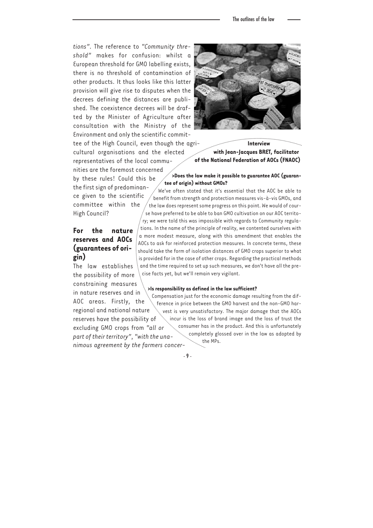*tions"*. The reference to *"Community threshold"* makes for confusion: whilst a European threshold for GMO labelling exists, there is no threshold of contamination of other products. It thus looks like this latter provision will give rise to disputes when the decrees defining the distances are published. The coexistence decrees will be drafted by the Minister of Agriculture after consultation with the Ministry of the Environment and only the scientific commit-

tee of the High Council, even though the agricultural organisations and the elected representatives of the local communities are the foremost concerned

by these rules! Could this be the first sign of predominance given to the scientific committee within the High Council?

#### **For the nature reserves and AOCs (guarantees of origin)**

The law establishes the possibility of more constraining measures in nature reserves and in AOC areas. Firstly, the

regional and national nature reserves have the possibility of excluding GMO crops from *"all or part of their territory"*, *"with the unanimous agreement by the farmers concer-*



**Interview with Jean-Jacques BRET, facilitator of the National Federation of AOCs (FNAOC)**

#### **>Does the law make it possible to guarantee AOC (guarantee of origin) without GMOs?**

We've often stated that it's essential that the AOC be able to benefit from strength and protection measures vis-à-vis GMOs, and the law does represent some progress on this point. We would of course have preferred to be able to ban GMO cultivation on our AOC territo-

ry; we were told this was impossible with regards to Community regulations. In the name of the principle of reality, we contented ourselves with a more modest measure, along with this amendment that enables the AOCs to ask for reinforced protection measures. In concrete terms, these should take the form of isolation distances of GMO crops superior to what is provided for in the case of other crops. Regarding the practical methods and the time required to set up such measures, we don't have all the precise facts yet, but we'll remain very vigilant.

#### **>Is responsibility as defined in the law sufficient?**

Compensation just for the economic damage resulting from the difference in price between the GMO harvest and the non-GMO harvest is very unsatisfactory. The major damage that the AOCs incur is the loss of brand image and the loss of trust the consumer has in the product. And this is unfortunately completely glossed over in the law as adopted by the MPs.

- 9 -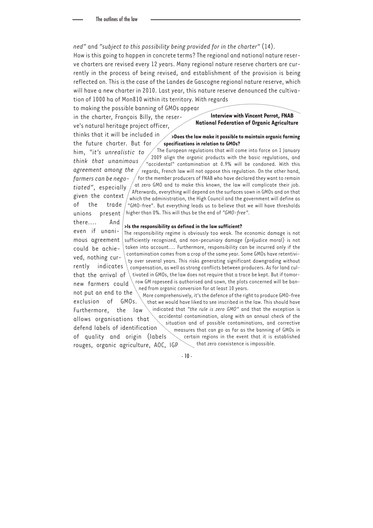*ned"* and *"subject to this possibility being provided for in the charter"* (14).

How is this going to happen in concrete terms? The regional and national nature reserve charters are revised every 12 years. Many regional nature reserve charters are currently in the process of being revised, and establishment of the provision is being reflected on. This is the case of the Landes de Gascogne regional nature reserve, which will have a new charter in 2010. Last year, this nature reserve denounced the cultivation of 1000 ha of Mon810 within its territory. With regards

to making the possible banning of GMOs appear

in the charter, François Billy, the reserve's natural heritage project officer,

**Interview with Vincent Perrot, FNAB National Federation of Organic Agriculture**

thinks that it will be included in the future charter. But for **>Does the law make it possible to maintain organic farming specifications in relation to GMOs?** 

him, *"it's unrealistic to think that unanimous agreement among the farmers can be negotiated"*, especially given the context of the trade : "GMO-free". But everything leads us to believe that we will have thresholds unions present The European regulations that will come into force on 1 January 2009 align the organic products with the basic regulations, and "accidental" contamination at 0.9% will be condoned. With this regards, French law will not oppose this regulation. On the other hand, for the member producers of FNAB who have declared they want to remain at zero GMO and to make this known, the law will complicate their job. Afterwards, everything will depend on the surfaces sown in GMOs and on that which the administration, the High Council and the government will define as higher than 0%. This will thus be the end of *"GMO-free"*.

#### there.... And **>Is the responsibility as defined in the law sufficient?**

even if unanimous agreement could be achieved, nothing currently indicates that the arrival of tivated in GMOs, the law does not require that a trace be kept. But if tomornew farmers could The responsibility regime is obviously too weak. The economic damage is not sufficiently recognized, and non-pecuniary damage (préjudice moral) is not taken into account.... Furthermore, responsibility can be incurred only if the contamination comes from a crop of the same year. Some GMOs have retentivity over several years. This risks generating significant downgrading without compensation, as well as strong conflicts between producers. As for land culrow GM rapeseed is authorised and sown, the plots concerned will be banned from organic conversion for at least 10 years.

not put an end to the exclusion of GMOs. Furthermore, the law allows organisations that defend labels of identification of quality and origin (labels rouges, organic agriculture, AOC, IGP More comprehensively, it's the defence of the right to produce GMO-free that we would have liked to see inscribed in the law. This should have indicated that *"the rule is zero GMO"* and that the exception is accidental contamination, along with an annual check of the situation and of possible contaminations, and corrective measures that can go as far as the banning of GMOs in certain regions in the event that it is established  $\ddot{ }$  that zero coexistence is impossible.

 $-10 -$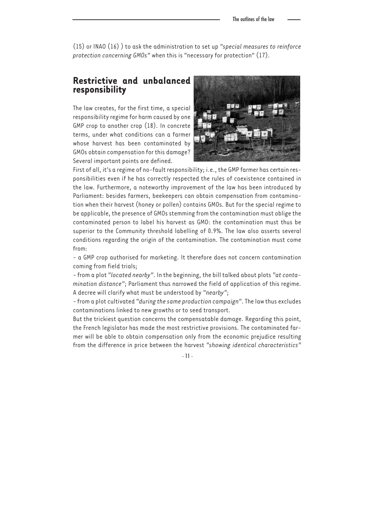(15) or INAO (16) ) to ask the administration to set up *"special measures to reinforce protection concerning GMOs"* when this is "necessary for protection" (17).

### **Restrictive and unbalanced responsibility**

The law creates, for the first time, a special responsibility regime for harm caused by one GMP crop to another crop (18). In concrete terms, under what conditions can a farmer whose harvest has been contaminated by GMOs obtain compensation for this damage? Several important points are defined.



First of all, it's a regime of no-fault responsibility; i.e., the GMP farmer has certain responsibilities even if he has correctly respected the rules of coexistence contained in the law. Furthermore, a noteworthy improvement of the law has been introduced by Parliament: besides farmers, beekeepers can obtain compensation from contamination when their harvest (honey or pollen) contains GMOs. But for the special regime to be applicable, the presence of GMOs stemming from the contamination must oblige the contaminated person to label his harvest as GMO: the contamination must thus be superior to the Community threshold labelling of 0.9%. The law also asserts several conditions regarding the origin of the contamination. The contamination must come from:

- a GMP crop authorised for marketing. It therefore does not concern contamination coming from field trials;

- from a plot *"located nearby"*. In the beginning, the bill talked about plots *"at contamination distance"*; Parliament thus narrowed the field of application of this regime. A decree will clarify what must be understood by *"nearby"*;

- from a plot cultivated *"during the same production campaign"*. The law thus excludes contaminations linked to new growths or to seed transport.

But the trickiest question concerns the compensatable damage. Regarding this point, the French legislator has made the most restrictive provisions. The contaminated farmer will be able to obtain compensation only from the economic prejudice resulting from the difference in price between the harvest *"showing identical characteristics"*

- 11 -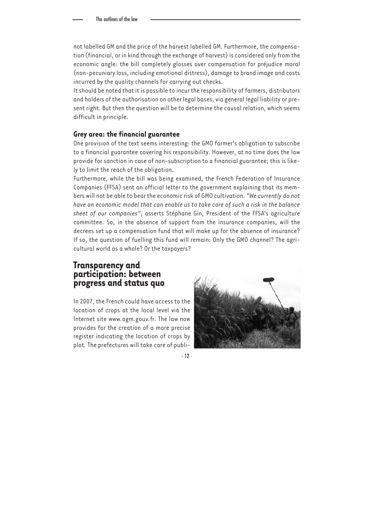not labelled GM and the price of the harvest labelled GM. Furthermore, the compensation (financial, or in kind through the exchange of harvest) is considered only from the economic angle: the bill completely glosses over compensation for préjudice moral (non-pecuniary loss, including emotional distress), damage to brand image and costs incurred by the quality channels for carrying out checks.

It should be noted that it is possible to incur the responsibility of farmers, distributors and holders of the authorisation on other legal bases, via general legal liability or present right. But then the question will be to determine the causal relation, which seems difficult in principle.

#### **Grey area: the financial guarantee**

One provision of the text seems interesting: the GMO farmer's obligation to subscribe to a financial guarantee covering his responsibility. However, at no time does the law provide for sanction in case of non-subscription to a financial guarantee; this is likely to limit the reach of the obligation.

Furthermore, while the bill was being examined, the French Federation of Insurance Companies (FFSA) sent an official letter to the government explaining that its members will not be able to bear the economic risk of GMO cultivation. *"We currently do not have an economic model that can enable us to take care of such a risk in the balance sheet of our companies"*, asserts Stéphane Gin, President of the FFSA's agriculture committee. So, in the absence of support from the insurance companies, will the decrees set up a compensation fund that will make up for the absence of insurance? If so, the question of fuelling this fund will remain: Only the GMO channel? The agricultural world as a whole? Or the taxpayers?

## **Transparency and participation: between progress and status quo**

In 2007, the French could have access to the location of crops at the local level via the Internet site www.ogm.gouv.fr. The law now provides for the creation of a more precise register indicating the location of crops by plot. The prefectures will take care of publi-



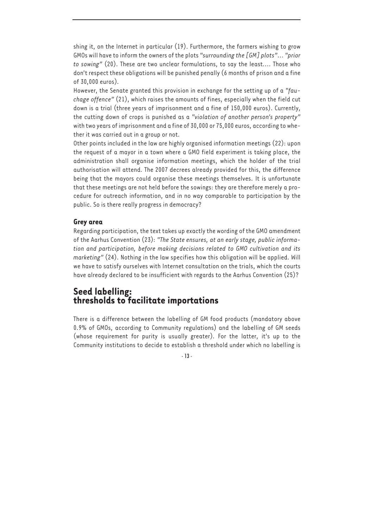shing it, on the Internet in particular (19). Furthermore, the farmers wishing to grow GMOs will have to inform the owners of the plots *"surrounding the [GM] plots"*... *"prior to sowing"* (20). These are two unclear formulations, to say the least.... Those who don't respect these obligations will be punished penally (6 months of prison and a fine of 30,000 euros).

However, the Senate granted this provision in exchange for the setting up of a *"fauchage offence"* (21), which raises the amounts of fines, especially when the field cut down is a trial (three years of imprisonment and a fine of 150,000 euros). Currently, the cutting down of crops is punished as a *"violation of another person's property"* with two years of imprisonment and a fine of 30,000 or 75,000 euros, according to whether it was carried out in a group or not.

Other points included in the law are highly organised information meetings (22): upon the request of a mayor in a town where a GMO field experiment is taking place, the administration shall organise information meetings, which the holder of the trial authorisation will attend. The 2007 decrees already provided for this, the difference being that the mayors could organise these meetings themselves. It is unfortunate that these meetings are not held before the sowings: they are therefore merely a procedure for outreach information, and in no way comparable to participation by the public. So is there really progress in democracy?

#### **Grey area**

Regarding participation, the text takes up exactly the wording of the GMO amendment of the Aarhus Convention (23): *"The State ensures, at an early stage, public information and participation, before making decisions related to GMO cultivation and its marketing"* (24). Nothing in the law specifies how this obligation will be applied. Will we have to satisfy ourselves with Internet consultation on the trials, which the courts have already declared to be insufficient with regards to the Aarhus Convention (25)?

# **Seed labelling: thresholds to facilitate importations**

There is a difference between the labelling of GM food products (mandatory above 0.9% of GMOs, according to Community regulations) and the labelling of GM seeds (whose requirement for purity is usually greater). For the latter, it's up to the Community institutions to decide to establish a threshold under which no labelling is

- 13 -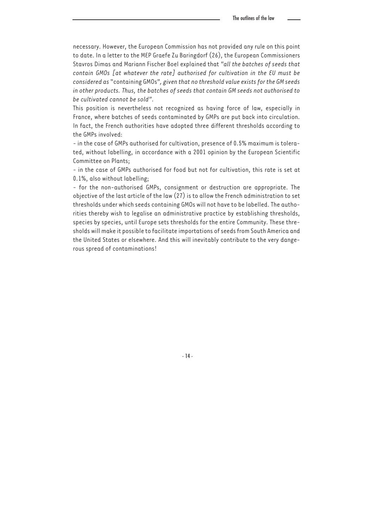necessary. However, the European Commission has not provided any rule on this point to date. In a letter to the MEP Graefe Zu Baringdorf (26), the European Commissioners Stavros Dimas and Mariann Fischer Boel explained that *"all the batches of seeds that contain GMOs [at whatever the rate] authorised for cultivation in the EU must be considered as* "containing GMOs"*, given that no threshold value exists for the GM seeds in other products. Thus, the batches of seeds that contain GM seeds not authorised to be cultivated cannot be sold"*.

This position is nevertheless not recognized as having force of law, especially in France, where batches of seeds contaminated by GMPs are put back into circulation. In fact, the French authorities have adopted three different thresholds according to the GMPs involved:

- in the case of GMPs authorised for cultivation, presence of 0.5% maximum is tolerated, without labelling, in accordance with a 2001 opinion by the European Scientific Committee on Plants;

- in the case of GMPs authorised for food but not for cultivation, this rate is set at 0.1%, also without labelling;

- for the non-authorised GMPs, consignment or destruction are appropriate. The objective of the last article of the law (27) is to allow the French administration to set thresholds under which seeds containing GMOs will not have to be labelled. The authorities thereby wish to legalise an administrative practice by establishing thresholds, species by species, until Europe sets thresholds for the entire Community. These thresholds will make it possible to facilitate importations of seeds from South America and the United States or elsewhere. And this will inevitably contribute to the very dangerous spread of contaminations!

- 14 -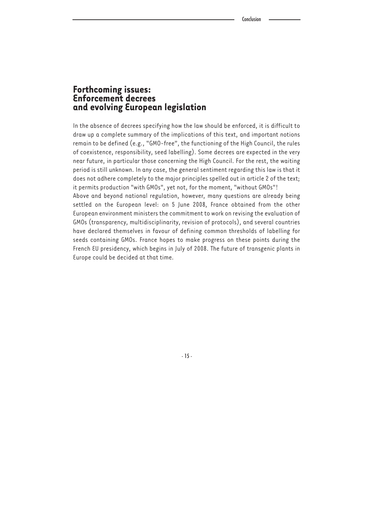## **Forthcoming issues: Enforcement decrees and evolving European legislation**

In the absence of decrees specifying how the law should be enforced, it is difficult to draw up a complete summary of the implications of this text, and important notions remain to be defined (e.g., "GMO-free", the functioning of the High Council, the rules of coexistence, responsibility, seed labelling). Some decrees are expected in the very near future, in particular those concerning the High Council. For the rest, the waiting period is still unknown. In any case, the general sentiment regarding this law is that it does not adhere completely to the major principles spelled out in article 2 of the text; it permits production "with GMOs", yet not, for the moment, "without GMOs"!

Above and beyond national regulation, however, many questions are already being settled on the European level: on 5 June 2008, France obtained from the other European environment ministers the commitment to work on revising the evaluation of GMOs (transparency, multidisciplinarity, revision of protocols), and several countries have declared themselves in favour of defining common thresholds of labelling for seeds containing GMOs. France hopes to make progress on these points during the French EU presidency, which begins in July of 2008. The future of transgenic plants in Europe could be decided at that time.

- 15 -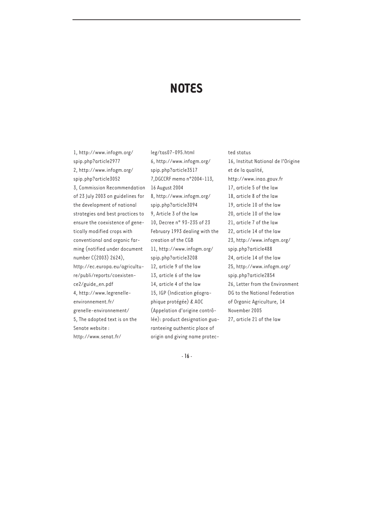# **NOTES**

1, http://www.infogm.org/ spip.php?article2977 2, http://www.infogm.org/ spip.php?article3052 3, Commission Recommendation of 23 July 2003 on guidelines for the development of national strategies and best practices to ensure the coexistence of genetically modified crops with conventional and organic farming (notified under document number C(2003) 2624), http://ec.europa.eu/agriculture/publi/reports/coexistence2/guide\_en.pdf 4, http://www.legrenelleenvironnement.fr/ grenelle-environnement/ 5, The adopted text is on the Senate website : http://www.senat.fr/

leg/tas07-095.html 6, http://www.infogm.org/ spip.php?article3517 7,DGCCRF memo n°2004-113, 16 August 2004 8, http://www.infogm.org/ spip.php?article3094 9, Article 3 of the law 10, Decree n° 93-235 of 23 February 1993 dealing with the creation of the CGB 11, http://www.infogm.org/ spip.php?article3208 12, article 9 of the law 13, article 6 of the law 14, article 4 of the law 15, IGP (Indication géographique protégée) & AOC (Appelation d'origine contrôlée): product designation guaranteeing authentic place of origin and giving name protected status 16, Institut National de l'Origine et de la qualité, http://www.inao.gouv.fr 17, article 5 of the law 18, article 8 of the law 19, article 10 of the law 20, article 10 of the law 21, article 7 of the law 22, article 14 of the law 23, http://www.infogm.org/ spip.php?article488 24, article 14 of the law 25, http://www.infogm.org/ spip.php?article2854 26, Letter from the Environment DG to the National Federation of Organic Agriculture, 14 November 2005 27, article 21 of the law

- 16 -